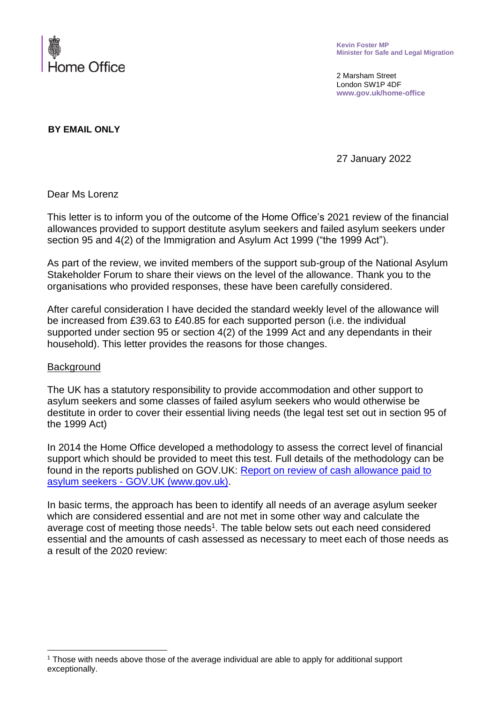

**Kevin Foster MP Minister for Safe and Legal Migration**

2 Marsham Street London SW1P 4DF **www.gov.uk/home-office**

**BY EMAIL ONLY**

27 January 2022

Dear Ms Lorenz

This letter is to inform you of the outcome of the Home Office's 2021 review of the financial allowances provided to support destitute asylum seekers and failed asylum seekers under section 95 and 4(2) of the Immigration and Asylum Act 1999 ("the 1999 Act").

As part of the review, we invited members of the support sub-group of the National Asylum Stakeholder Forum to share their views on the level of the allowance. Thank you to the organisations who provided responses, these have been carefully considered.

After careful consideration I have decided the standard weekly level of the allowance will be increased from £39.63 to £40.85 for each supported person (i.e. the individual supported under section 95 or section 4(2) of the 1999 Act and any dependants in their household). This letter provides the reasons for those changes.

## **Background**

The UK has a statutory responsibility to provide accommodation and other support to asylum seekers and some classes of failed asylum seekers who would otherwise be destitute in order to cover their essential living needs (the legal test set out in section 95 of the 1999 Act)

In 2014 the Home Office developed a methodology to assess the correct level of financial support which should be provided to meet this test. Full details of the methodology can be found in the reports published on GOV.UK: [Report on review of cash allowance paid to](https://www.gov.uk/government/publications/report-on-review-of-cash-allowance-paid-to-asylum-seekers)  asylum seekers - [GOV.UK \(www.gov.uk\).](https://www.gov.uk/government/publications/report-on-review-of-cash-allowance-paid-to-asylum-seekers)

In basic terms, the approach has been to identify all needs of an average asylum seeker which are considered essential and are not met in some other way and calculate the average cost of meeting those needs<sup>1</sup>. The table below sets out each need considered essential and the amounts of cash assessed as necessary to meet each of those needs as a result of the 2020 review:

<sup>1</sup> Those with needs above those of the average individual are able to apply for additional support exceptionally.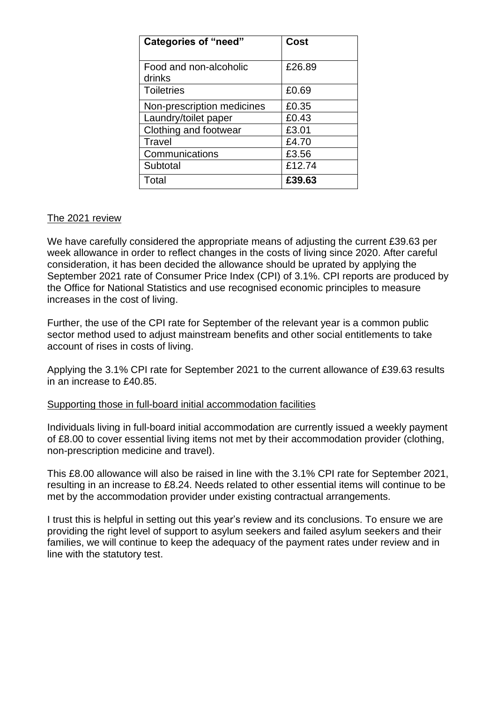| <b>Categories of "need"</b> | Cost   |
|-----------------------------|--------|
|                             |        |
| Food and non-alcoholic      | £26.89 |
| drinks                      |        |
| <b>Toiletries</b>           | £0.69  |
| Non-prescription medicines  | £0.35  |
| Laundry/toilet paper        | £0.43  |
| Clothing and footwear       | £3.01  |
| Travel                      | £4.70  |
| Communications              | £3.56  |
| Subtotal                    | £12.74 |
| Total                       | £39.63 |

## The 2021 review

We have carefully considered the appropriate means of adjusting the current £39.63 per week allowance in order to reflect changes in the costs of living since 2020. After careful consideration, it has been decided the allowance should be uprated by applying the September 2021 rate of Consumer Price Index (CPI) of 3.1%. CPI reports are produced by the Office for National Statistics and use recognised economic principles to measure increases in the cost of living.

Further, the use of the CPI rate for September of the relevant year is a common public sector method used to adjust mainstream benefits and other social entitlements to take account of rises in costs of living.

Applying the 3.1% CPI rate for September 2021 to the current allowance of £39.63 results in an increase to £40.85.

## Supporting those in full-board initial accommodation facilities

Individuals living in full-board initial accommodation are currently issued a weekly payment of £8.00 to cover essential living items not met by their accommodation provider (clothing, non-prescription medicine and travel).

This £8.00 allowance will also be raised in line with the 3.1% CPI rate for September 2021, resulting in an increase to £8.24. Needs related to other essential items will continue to be met by the accommodation provider under existing contractual arrangements.

I trust this is helpful in setting out this year's review and its conclusions. To ensure we are providing the right level of support to asylum seekers and failed asylum seekers and their families, we will continue to keep the adequacy of the payment rates under review and in line with the statutory test.